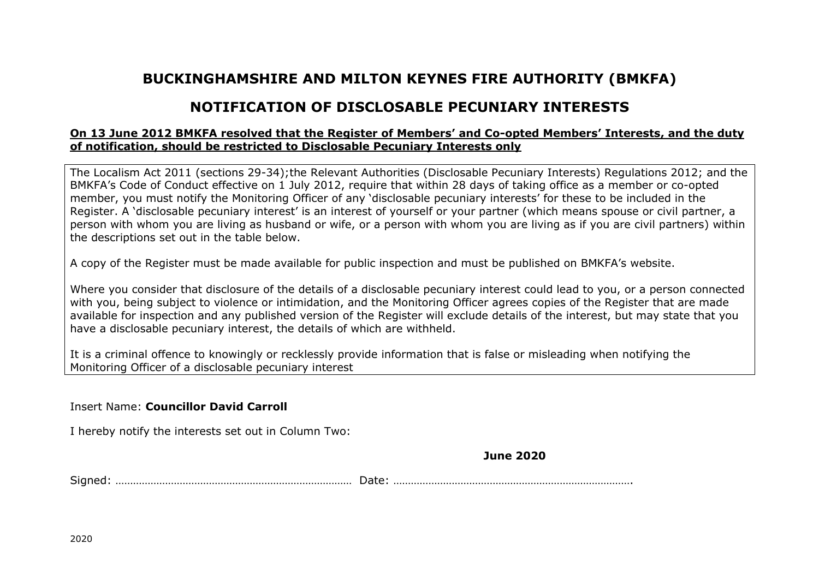## **BUCKINGHAMSHIRE AND MILTON KEYNES FIRE AUTHORITY (BMKFA)**

## **NOTIFICATION OF DISCLOSABLE PECUNIARY INTERESTS**

## **On 13 June 2012 BMKFA resolved that the Register of Members' and Co-opted Members' Interests, and the duty of notification, should be restricted to Disclosable Pecuniary Interests only**

The Localism Act 2011 (sections 29-34);the Relevant Authorities (Disclosable Pecuniary Interests) Regulations 2012; and the BMKFA's Code of Conduct effective on 1 July 2012, require that within 28 days of taking office as a member or co-opted member, you must notify the Monitoring Officer of any 'disclosable pecuniary interests' for these to be included in the Register. A 'disclosable pecuniary interest' is an interest of yourself or your partner (which means spouse or civil partner, a person with whom you are living as husband or wife, or a person with whom you are living as if you are civil partners) within the descriptions set out in the table below.

A copy of the Register must be made available for public inspection and must be published on BMKFA's website.

Where you consider that disclosure of the details of a disclosable pecuniary interest could lead to you, or a person connected with you, being subject to violence or intimidation, and the Monitoring Officer agrees copies of the Register that are made available for inspection and any published version of the Register will exclude details of the interest, but may state that you have a disclosable pecuniary interest, the details of which are withheld.

It is a criminal offence to knowingly or recklessly provide information that is false or misleading when notifying the Monitoring Officer of a disclosable pecuniary interest

## Insert Name: **Councillor David Carroll**

I hereby notify the interests set out in Column Two:

**June 2020**

Signed: ……………………………………………………………………… Date: ……………………………………………………………………….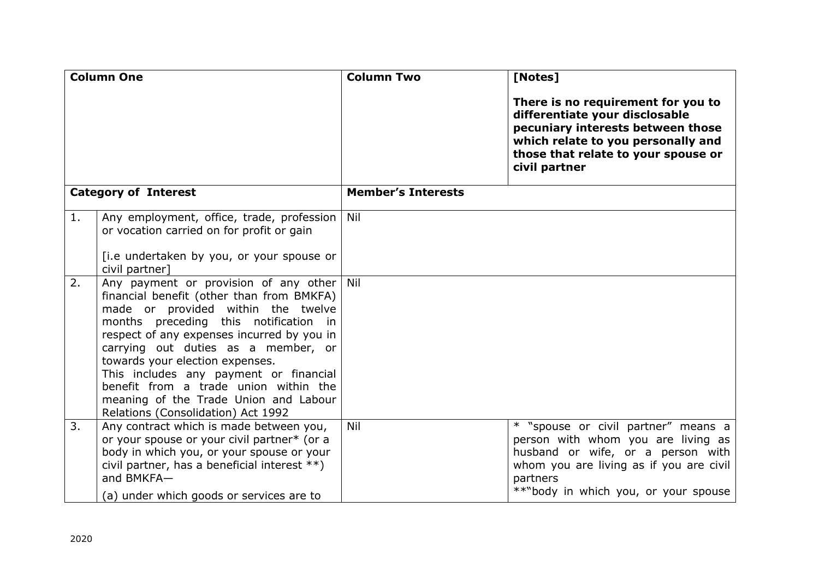| <b>Column One</b>           |                                                                                                                                                                                                                                                                                                                                                                                                                                                                 | <b>Column Two</b>         | [Notes]                                                                                                                                                                                                       |
|-----------------------------|-----------------------------------------------------------------------------------------------------------------------------------------------------------------------------------------------------------------------------------------------------------------------------------------------------------------------------------------------------------------------------------------------------------------------------------------------------------------|---------------------------|---------------------------------------------------------------------------------------------------------------------------------------------------------------------------------------------------------------|
|                             |                                                                                                                                                                                                                                                                                                                                                                                                                                                                 |                           | There is no requirement for you to<br>differentiate your disclosable<br>pecuniary interests between those<br>which relate to you personally and<br>those that relate to your spouse or<br>civil partner       |
| <b>Category of Interest</b> |                                                                                                                                                                                                                                                                                                                                                                                                                                                                 | <b>Member's Interests</b> |                                                                                                                                                                                                               |
| 1.                          | Any employment, office, trade, profession<br>or vocation carried on for profit or gain<br>[i.e undertaken by you, or your spouse or<br>civil partner]                                                                                                                                                                                                                                                                                                           | Nil                       |                                                                                                                                                                                                               |
| 2.                          | Any payment or provision of any other Nil<br>financial benefit (other than from BMKFA)<br>made or provided within the twelve<br>months preceding this notification in<br>respect of any expenses incurred by you in<br>carrying out duties as a member, or<br>towards your election expenses.<br>This includes any payment or financial<br>benefit from a trade union within the<br>meaning of the Trade Union and Labour<br>Relations (Consolidation) Act 1992 |                           |                                                                                                                                                                                                               |
| 3.                          | Any contract which is made between you,<br>or your spouse or your civil partner* (or a<br>body in which you, or your spouse or your<br>civil partner, has a beneficial interest **)<br>and BMKFA-<br>(a) under which goods or services are to                                                                                                                                                                                                                   | Nil                       | * "spouse or civil partner" means a<br>person with whom you are living as<br>husband or wife, or a person with<br>whom you are living as if you are civil<br>partners<br>**"body in which you, or your spouse |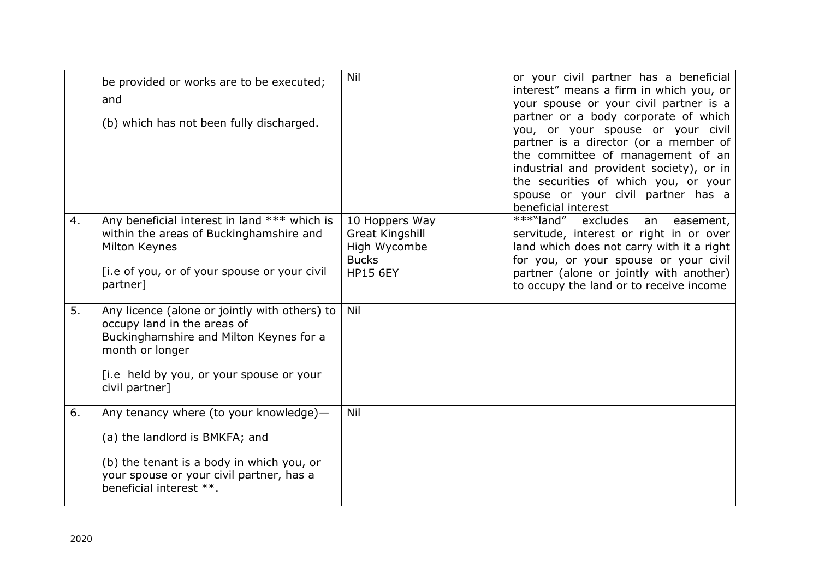|    | be provided or works are to be executed;<br>and<br>(b) which has not been fully discharged.                                                                                                              | Nil                                                                                         | or your civil partner has a beneficial<br>interest" means a firm in which you, or<br>your spouse or your civil partner is a<br>partner or a body corporate of which<br>you, or your spouse or your civil<br>partner is a director (or a member of<br>the committee of management of an<br>industrial and provident society), or in<br>the securities of which you, or your<br>spouse or your civil partner has a<br>beneficial interest |
|----|----------------------------------------------------------------------------------------------------------------------------------------------------------------------------------------------------------|---------------------------------------------------------------------------------------------|-----------------------------------------------------------------------------------------------------------------------------------------------------------------------------------------------------------------------------------------------------------------------------------------------------------------------------------------------------------------------------------------------------------------------------------------|
| 4. | Any beneficial interest in land *** which is<br>within the areas of Buckinghamshire and<br>Milton Keynes<br>[i.e of you, or of your spouse or your civil<br>partner]                                     | 10 Hoppers Way<br><b>Great Kingshill</b><br>High Wycombe<br><b>Bucks</b><br><b>HP15 6EY</b> | ***"land"<br>excludes<br>an<br>easement,<br>servitude, interest or right in or over<br>land which does not carry with it a right<br>for you, or your spouse or your civil<br>partner (alone or jointly with another)<br>to occupy the land or to receive income                                                                                                                                                                         |
| 5. | Any licence (alone or jointly with others) to<br>occupy land in the areas of<br>Buckinghamshire and Milton Keynes for a<br>month or longer<br>[i.e held by you, or your spouse or your<br>civil partner] | Nil                                                                                         |                                                                                                                                                                                                                                                                                                                                                                                                                                         |
| 6. | Any tenancy where (to your knowledge)-<br>(a) the landlord is BMKFA; and<br>(b) the tenant is a body in which you, or<br>your spouse or your civil partner, has a<br>beneficial interest **.             | Nil                                                                                         |                                                                                                                                                                                                                                                                                                                                                                                                                                         |